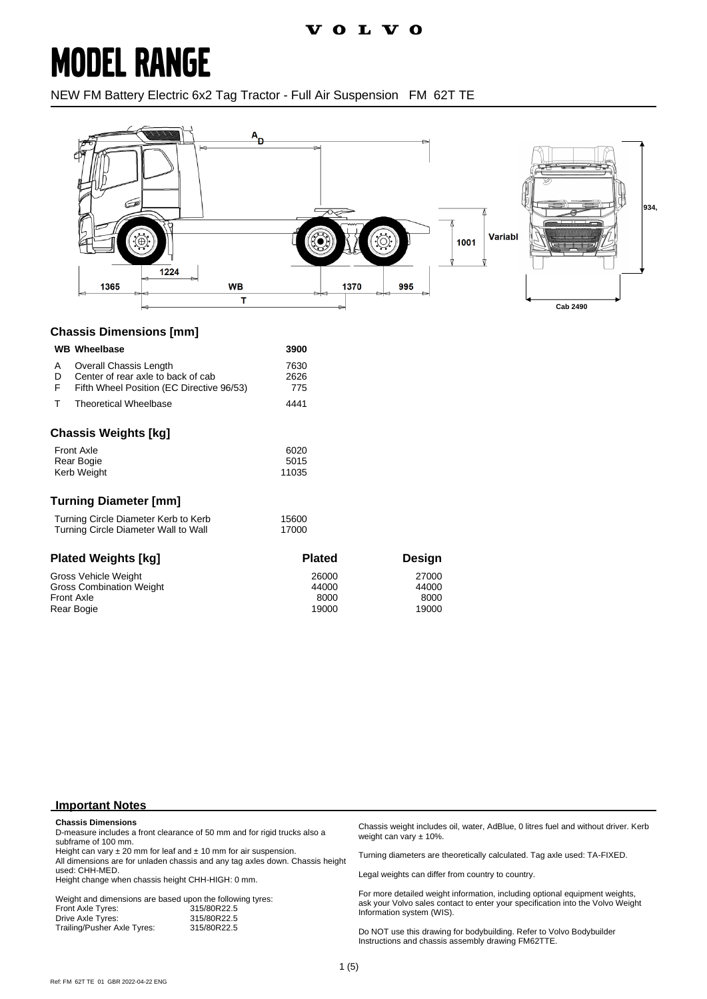## **MODEL RANGE**

NEW FM Battery Electric 6x2 Tag Tractor - Full Air Suspension FM 62T TE



#### **Chassis Dimensions [mm]**

|                                                                              | <b>WB Wheelbase</b>                                                                                       | 3900                            |                                 |
|------------------------------------------------------------------------------|-----------------------------------------------------------------------------------------------------------|---------------------------------|---------------------------------|
| A<br>D<br>F                                                                  | Overall Chassis Length<br>Center of rear axle to back of cab<br>Fifth Wheel Position (EC Directive 96/53) | 7630<br>2626<br>775             |                                 |
| т                                                                            | Theoretical Wheelbase                                                                                     | 4441                            |                                 |
|                                                                              | <b>Chassis Weights [kg]</b>                                                                               |                                 |                                 |
| <b>Front Axle</b><br>Rear Bogie<br>Kerb Weight                               |                                                                                                           | 6020<br>5015<br>11035           |                                 |
|                                                                              | <b>Turning Diameter [mm]</b>                                                                              |                                 |                                 |
| Turning Circle Diameter Kerb to Kerb<br>Turning Circle Diameter Wall to Wall |                                                                                                           | 15600<br>17000                  |                                 |
|                                                                              | <b>Plated Weights [kg]</b>                                                                                | <b>Plated</b>                   | Design                          |
|                                                                              | Gross Vehicle Weight<br><b>Gross Combination Weight</b><br><b>Front Axle</b><br>Rear Bogie                | 26000<br>44000<br>8000<br>19000 | 27000<br>44000<br>8000<br>19000 |

#### **Important Notes**

#### **Chassis Dimensions**

D-measure includes a front clearance of 50 mm and for rigid trucks also a subframe of 100 mm.

Height can vary  $\pm 20$  mm for leaf and  $\pm 10$  mm for air suspension. All dimensions are for unladen chassis and any tag axles down. Chassis height used: CHH-MED.

Height change when chassis height CHH-HIGH: 0 mm.

Weight and dimensions are based upon the following tyres:<br>Front Axle Tyres: 315/80R22.5 Front Axle Tyres: 315/80R22.5 Drive Axle Tyres: 315/80R22.5<br>Trailing/Pusher Axle Tyres: 315/80R22.5 Trailing/Pusher Axle Tyres:

Chassis weight includes oil, water, AdBlue, 0 litres fuel and without driver. Kerb weight can vary ± 10%.

Turning diameters are theoretically calculated. Tag axle used: TA-FIXED.

Legal weights can differ from country to country.

For more detailed weight information, including optional equipment weights, ask your Volvo sales contact to enter your specification into the Volvo Weight Information system (WIS).

Do NOT use this drawing for bodybuilding. Refer to Volvo Bodybuilder Instructions and chassis assembly drawing FM62TTE.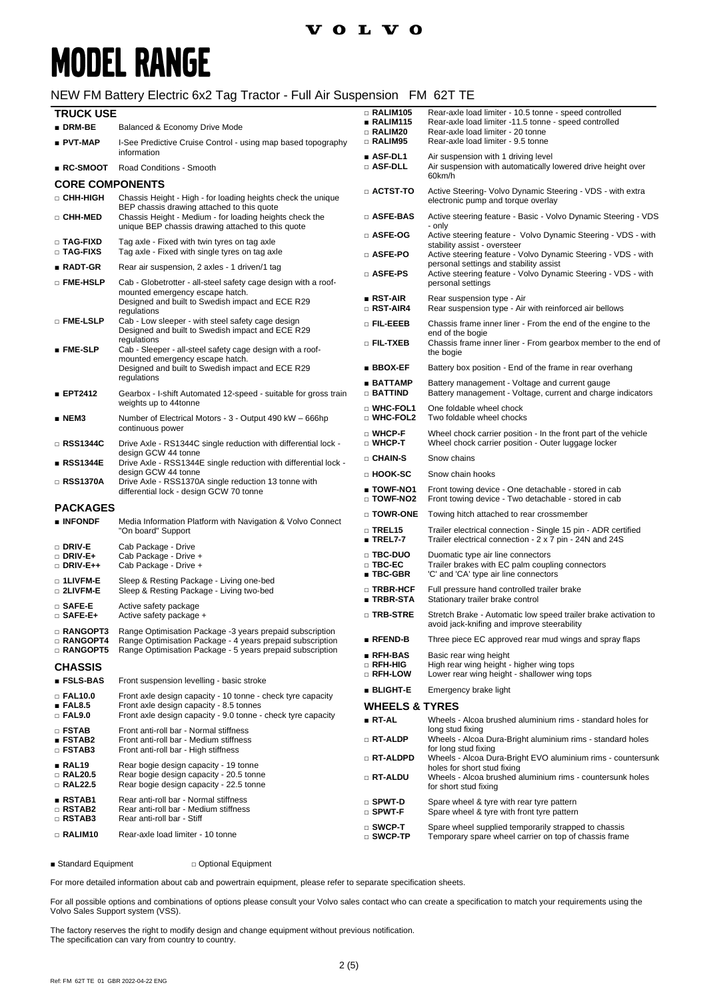## **MODEL RANGE**

#### NEW FM Battery Electric 6x2 Tag Tractor - Full Air Suspension FM 62T TE

| <b>TRUCK USE</b>                                                                                              |                                                                                                                                                                                | $\Box$ RALIM105                                 | Rear-axle load limiter - 10.5 tonne - speed controlled                                                                        |  |
|---------------------------------------------------------------------------------------------------------------|--------------------------------------------------------------------------------------------------------------------------------------------------------------------------------|-------------------------------------------------|-------------------------------------------------------------------------------------------------------------------------------|--|
| $\blacksquare$ DRM-BE                                                                                         | Balanced & Economy Drive Mode                                                                                                                                                  | ∎ RALIM115                                      | Rear-axle load limiter -11.5 tonne - speed controlled                                                                         |  |
| ∎ PVT-MAP                                                                                                     | I-See Predictive Cruise Control - using map based topography                                                                                                                   | $\square$ RALIM20<br><b>RALIM95</b>             | Rear-axle load limiter - 20 tonne<br>Rear-axle load limiter - 9.5 tonne                                                       |  |
| $\blacksquare$ RC-SMOOT                                                                                       | information<br>Road Conditions - Smooth                                                                                                                                        | $\blacksquare$ ASF-DL1<br>□ ASF-DLL             | Air suspension with 1 driving level<br>Air suspension with automatically lowered drive height over                            |  |
|                                                                                                               |                                                                                                                                                                                |                                                 | 60km/h                                                                                                                        |  |
| <b>CORE COMPONENTS</b><br>□ CHH-HIGH                                                                          | Chassis Height - High - for loading heights check the unique                                                                                                                   | $\Box$ ACTST-TO                                 | Active Steering- Volvo Dynamic Steering - VDS - with extra<br>electronic pump and torque overlay                              |  |
| □ CHH-MED                                                                                                     | BEP chassis drawing attached to this quote<br>Chassis Height - Medium - for loading heights check the                                                                          | □ ASFE-BAS                                      | Active steering feature - Basic - Volvo Dynamic Steering - VDS                                                                |  |
| □ TAG-FIXD                                                                                                    | unique BEP chassis drawing attached to this quote<br>Tag axle - Fixed with twin tyres on tag axle                                                                              | □ ASFE-OG                                       | - only<br>Active steering feature - Volvo Dynamic Steering - VDS - with<br>stability assist - oversteer                       |  |
| □ TAG-FIXS                                                                                                    | Tag axle - Fixed with single tyres on tag axle                                                                                                                                 | □ ASFE-PO                                       | Active steering feature - Volvo Dynamic Steering - VDS - with<br>personal settings and stability assist                       |  |
| $\blacksquare$ RADT-GR                                                                                        | Rear air suspension, 2 axles - 1 driven/1 tag                                                                                                                                  | $\square$ ASFE-PS                               | Active steering feature - Volvo Dynamic Steering - VDS - with                                                                 |  |
| □ FME-HSLP                                                                                                    | Cab - Globetrotter - all-steel safety cage design with a roof-<br>mounted emergency escape hatch.<br>Designed and built to Swedish impact and ECE R29                          | $\blacksquare$ RST-AIR                          | personal settings<br>Rear suspension type - Air                                                                               |  |
|                                                                                                               | regulations                                                                                                                                                                    | $\Box$ RST-AIR4                                 | Rear suspension type - Air with reinforced air bellows                                                                        |  |
| □ FME-LSLP                                                                                                    | Cab - Low sleeper - with steel safety cage design<br>Designed and built to Swedish impact and ECE R29                                                                          | o Fil-Eeeb                                      | Chassis frame inner liner - From the end of the engine to the<br>end of the bogie                                             |  |
| $\blacksquare$ FME-SLP                                                                                        | regulations<br>Cab - Sleeper - all-steel safety cage design with a roof-<br>mounted emergency escape hatch.<br>Designed and built to Swedish impact and ECE R29<br>regulations | □ FIL-TXEB                                      | Chassis frame inner liner - From gearbox member to the end of<br>the bogie                                                    |  |
|                                                                                                               |                                                                                                                                                                                | <b>BBOX-EF</b>                                  | Battery box position - End of the frame in rear overhang                                                                      |  |
| ■ EPT2412                                                                                                     | Gearbox - I-shift Automated 12-speed - suitable for gross train<br>weights up to 44tonne                                                                                       | ∎ BATTAMP<br>$\Box$ Battind                     | Battery management - Voltage and current gauge<br>Battery management - Voltage, current and charge indicators                 |  |
| ∎ NEM3                                                                                                        | Number of Electrical Motors - 3 - Output 490 kW - 666hp                                                                                                                        | □ WHC-FOL1<br>□ WHC-FOL2                        | One foldable wheel chock<br>Two foldable wheel chocks                                                                         |  |
| □ RSS1344C                                                                                                    | continuous power<br>Drive Axle - RS1344C single reduction with differential lock -                                                                                             | □ WHCP-F<br>□ WHCP-T                            | Wheel chock carrier position - In the front part of the vehicle<br>Wheel chock carrier position - Outer luggage locker        |  |
| ∎ RSS1344E                                                                                                    | design GCW 44 tonne<br>Drive Axle - RSS1344E single reduction with differential lock -                                                                                         | □ CHAIN-S                                       | Snow chains                                                                                                                   |  |
|                                                                                                               | design GCW 44 tonne                                                                                                                                                            | □ HOOK-SC                                       | Snow chain hooks                                                                                                              |  |
| Drive Axle - RSS1370A single reduction 13 tonne with<br>□ RSS1370A<br>differential lock - design GCW 70 tonne |                                                                                                                                                                                | ■ TOWF-NO1<br>□ TOWF-NO2                        | Front towing device - One detachable - stored in cab<br>Front towing device - Two detachable - stored in cab                  |  |
| <b>PACKAGES</b>                                                                                               |                                                                                                                                                                                | $\square$ TOWR-ONE                              | Towing hitch attached to rear crossmember                                                                                     |  |
| $\blacksquare$ INFONDF                                                                                        | Media Information Platform with Navigation & Volvo Connect<br>"On board" Support                                                                                               | $\square$ TREL15<br>$\blacksquare$ TREL7-7      | Trailer electrical connection - Single 15 pin - ADR certified<br>Trailer electrical connection - 2 x 7 pin - 24N and 24S      |  |
| □ DRIV-E<br>$\Box$ DRIV-E+<br>$\Box$ DRIV-E++                                                                 | Cab Package - Drive<br>Cab Package - Drive +<br>Cab Package - Drive +                                                                                                          | □ TBC-DUO<br>□ TBC-EC<br>$\blacksquare$ TBC-GBR | Duomatic type air line connectors<br>Trailer brakes with EC palm coupling connectors<br>'C' and 'CA' type air line connectors |  |
| □ 1LIVFM-E<br>□ 2LIVFM-E                                                                                      | Sleep & Resting Package - Living one-bed<br>Sleep & Resting Package - Living two-bed                                                                                           | □ TRBR-HCF<br>∎ TRBR-STA                        | Full pressure hand controlled trailer brake<br>Stationary trailer brake control                                               |  |
| $\square$ SAFE-E<br>$\Box$ SAFE-E+                                                                            | Active safety package<br>Active safety package +                                                                                                                               | □ TRB-STRE                                      | Stretch Brake - Automatic low speed trailer brake activation to                                                               |  |
| □ RANGOPT3<br>$\scriptstyle\Box$ RANGOPT4                                                                     | Range Optimisation Package -3 years prepaid subscription<br>Range Optimisation Package - 4 years prepaid subscription                                                          | $\blacksquare$ RFEND-B                          | avoid jack-knifing and improve steerability<br>Three piece EC approved rear mud wings and spray flaps                         |  |
| <b>RANGOPT5</b>                                                                                               | Range Optimisation Package - 5 years prepaid subscription                                                                                                                      | $\blacksquare$ RFH-BAS                          | Basic rear wing height                                                                                                        |  |
| <b>CHASSIS</b><br>■ FSLS-BAS                                                                                  |                                                                                                                                                                                | □ RFH-HIG<br>□ RFH-LOW                          | High rear wing height - higher wing tops<br>Lower rear wing height - shallower wing tops                                      |  |
|                                                                                                               | Front suspension levelling - basic stroke                                                                                                                                      | <b>BLIGHT-E</b>                                 | Emergency brake light                                                                                                         |  |
| $\Box$ FAL10.0<br>$\blacksquare$ FAL8.5                                                                       | Front axle design capacity - 10 tonne - check tyre capacity<br>Front axle design capacity - 8.5 tonnes                                                                         | <b>WHEELS &amp; TYRES</b>                       |                                                                                                                               |  |
| $\Box$ FAL9.0                                                                                                 | Front axle design capacity - 9.0 tonne - check tyre capacity                                                                                                                   | ∎ RT-AL                                         | Wheels - Alcoa brushed aluminium rims - standard holes for                                                                    |  |
| $\Box$ FSTAB<br>$\blacksquare$ FSTAB2                                                                         | Front anti-roll bar - Normal stiffness<br>Front anti-roll bar - Medium stiffness                                                                                               | $\Box$ RT-ALDP                                  | long stud fixing<br>Wheels - Alcoa Dura-Bright aluminium rims - standard holes                                                |  |
| □ FSTAB3                                                                                                      | Front anti-roll bar - High stiffness                                                                                                                                           | □ RT-ALDPD                                      | for long stud fixing<br>Wheels - Alcoa Dura-Bright EVO aluminium rims - countersunk                                           |  |
| ∎ RAL19<br>$\Box$ RAL20.5<br>□ RAL22.5                                                                        | Rear bogie design capacity - 19 tonne<br>Rear bogie design capacity - 20.5 tonne<br>Rear bogie design capacity - 22.5 tonne                                                    | □ RT-ALDU                                       | holes for short stud fixing<br>Wheels - Alcoa brushed aluminium rims - countersunk holes<br>for short stud fixing             |  |
| RSTAB1<br>$\square$ RSTAB2                                                                                    | Rear anti-roll bar - Normal stiffness<br>Rear anti-roll bar - Medium stiffness                                                                                                 | $\square$ SPWT-D<br>$\square$ SPWT-F            | Spare wheel & tyre with rear tyre pattern<br>Spare wheel & tyre with front tyre pattern                                       |  |
| $\square$ RSTAB3                                                                                              | Rear anti-roll bar - Stiff                                                                                                                                                     | $\square$ SWCP-T                                | Spare wheel supplied temporarily strapped to chassis                                                                          |  |
| $\Box$ RALIM10                                                                                                | Rear-axle load limiter - 10 tonne                                                                                                                                              | $\scriptstyle\Box$ SWCP-TP                      | Temporary spare wheel carrier on top of chassis frame                                                                         |  |

■ Standard Equipment □ Optional Equipment

For more detailed information about cab and powertrain equipment, please refer to separate specification sheets.

For all possible options and combinations of options please consult your Volvo sales contact who can create a specification to match your requirements using the Volvo Sales Support system (VSS).

The factory reserves the right to modify design and change equipment without previous notification. The specification can vary from country to country.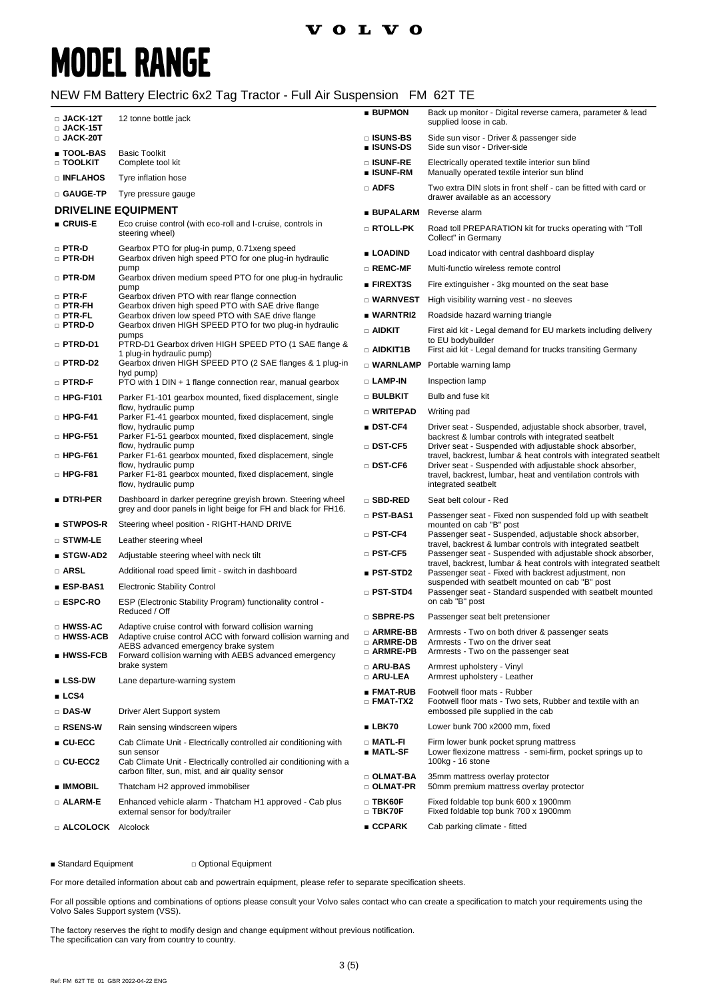### **VOLVO**

# **MODEL RANGE**

#### NEW FM Battery Electric 6x2 Tag Tractor - Full Air Suspension FM 62T TE

| $\square$ JACK-12T<br>□ JACK-15T  | 12 tonne bottle jack                                                                                                          | <b>BUPMON</b>                          | Back up monitor - Digital reverse camera, parameter & lead<br>supplied loose in cab.                                            |
|-----------------------------------|-------------------------------------------------------------------------------------------------------------------------------|----------------------------------------|---------------------------------------------------------------------------------------------------------------------------------|
| $\square$ JACK-20T<br>∎ TOOL-BAS  | <b>Basic Toolkit</b>                                                                                                          | $\square$ ISUNS-BS<br>■ ISUNS-DS       | Side sun visor - Driver & passenger side<br>Side sun visor - Driver-side                                                        |
| □ TOOLKIT<br><b>DINFLAHOS</b>     | Complete tool kit                                                                                                             | □ ISUNF-RE<br>■ ISUNF-RM               | Electrically operated textile interior sun blind<br>Manually operated textile interior sun blind                                |
| □ GAUGE-TP                        | Tyre inflation hose<br>Tyre pressure gauge                                                                                    | $\Box$ ADFS                            | Two extra DIN slots in front shelf - can be fitted with card or<br>drawer available as an accessory                             |
|                                   | <b>DRIVELINE EQUIPMENT</b>                                                                                                    | <b>BUPALARM</b>                        | Reverse alarm                                                                                                                   |
| ∎ CRUIS-E                         | Eco cruise control (with eco-roll and I-cruise, controls in<br>steering wheel)                                                | □ RTOLL-PK                             | Road toll PREPARATION kit for trucks operating with "Toll                                                                       |
| □ PTR-D                           | Gearbox PTO for plug-in pump, 0.71 xeng speed                                                                                 | ■ LOADIND                              | Collect" in Germany<br>Load indicator with central dashboard display                                                            |
| □ PTR-DH                          | Gearbox driven high speed PTO for one plug-in hydraulic<br>pump                                                               | $\square$ REMC-MF                      | Multi-functio wireless remote control                                                                                           |
| □ PTR-DM                          | Gearbox driven medium speed PTO for one plug-in hydraulic<br>pump                                                             | <b>FIREXT3S</b>                        | Fire extinguisher - 3kg mounted on the seat base                                                                                |
| $\square$ PTR-F                   | Gearbox driven PTO with rear flange connection                                                                                | □ WARNVEST                             | High visibility warning vest - no sleeves                                                                                       |
| $\square$ PTR-FH<br>$\Box$ PTR-FL | Gearbox driven high speed PTO with SAE drive flange<br>Gearbox driven low speed PTO with SAE drive flange                     | ■ WARNTRI2                             | Roadside hazard warning triangle                                                                                                |
| □ PTRD-D                          | Gearbox driven HIGH SPEED PTO for two plug-in hydraulic<br>pumps                                                              | $\Box$ aidkit                          | First aid kit - Legal demand for EU markets including delivery                                                                  |
| □ PTRD-D1                         | PTRD-D1 Gearbox driven HIGH SPEED PTO (1 SAE flange &<br>1 plug-in hydraulic pump)                                            | $\Box$ aidkit1b                        | to EU bodybuilder<br>First aid kit - Legal demand for trucks transiting Germany                                                 |
| □ PTRD-D2                         | Gearbox driven HIGH SPEED PTO (2 SAE flanges & 1 plug-in<br>hyd pump)                                                         | $\square$ WARNLAMP                     | Portable warning lamp                                                                                                           |
| $\square$ PTRD-F                  | PTO with 1 DIN + 1 flange connection rear, manual gearbox                                                                     | □ LAMP-IN                              | Inspection lamp                                                                                                                 |
| $\Box$ HPG-F101                   | Parker F1-101 gearbox mounted, fixed displacement, single<br>flow, hydraulic pump                                             | □ BULBKIT                              | Bulb and fuse kit                                                                                                               |
| $\square$ HPG-F41                 | Parker F1-41 gearbox mounted, fixed displacement, single                                                                      | <b>D</b> WRITEPAD                      | Writing pad                                                                                                                     |
| $\Box$ HPG-F51                    | flow, hydraulic pump<br>Parker F1-51 gearbox mounted, fixed displacement, single                                              | ■ DST-CF4                              | Driver seat - Suspended, adjustable shock absorber, travel,<br>backrest & lumbar controls with integrated seatbelt              |
| $\Box$ HPG-F61                    | flow, hydraulic pump<br>Parker F1-61 gearbox mounted, fixed displacement, single                                              | □ DST-CF5                              | Driver seat - Suspended with adjustable shock absorber,<br>travel, backrest, lumbar & heat controls with integrated seatbelt    |
|                                   | flow, hydraulic pump                                                                                                          | □ DST-CF6                              | Driver seat - Suspended with adjustable shock absorber,                                                                         |
| $\square$ HPG-F81                 | Parker F1-81 gearbox mounted, fixed displacement, single<br>flow, hydraulic pump                                              |                                        | travel, backrest, lumbar, heat and ventilation controls with<br>integrated seatbelt                                             |
| ∎ dtri-per                        | Dashboard in darker peregrine greyish brown. Steering wheel<br>grey and door panels in light beige for FH and black for FH16. | □ SBD-RED                              | Seat belt colour - Red                                                                                                          |
| ■ STWPOS-R                        | Steering wheel position - RIGHT-HAND DRIVE                                                                                    | □ PST-BAS1                             | Passenger seat - Fixed non suspended fold up with seatbelt<br>mounted on cab "B" post                                           |
| $\square$ stwm-le                 | Leather steering wheel                                                                                                        | $\square$ PST-CF4                      | Passenger seat - Suspended, adjustable shock absorber,<br>travel, backrest & lumbar controls with integrated seatbelt           |
| ■ STGW-AD2                        | Adjustable steering wheel with neck tilt                                                                                      | $\square$ PST-CF5                      | Passenger seat - Suspended with adjustable shock absorber,<br>travel, backrest, lumbar & heat controls with integrated seatbelt |
| □ ARSL                            | Additional road speed limit - switch in dashboard                                                                             | ■ PST-STD2                             | Passenger seat - Fixed with backrest adjustment, non                                                                            |
| <b>ESP-BAS1</b>                   | <b>Electronic Stability Control</b>                                                                                           | $\Box$ PST-STD4                        | suspended with seatbelt mounted on cab "B" post<br>Passenger seat - Standard suspended with seatbelt mounted                    |
| □ ESPC-RO                         | ESP (Electronic Stability Program) functionality control -<br>Reduced / Off                                                   |                                        | on cab "B" post                                                                                                                 |
| □ HWSS-AC                         | Adaptive cruise control with forward collision warning                                                                        | □ SBPRE-PS                             | Passenger seat belt pretensioner                                                                                                |
| □ HWSS-ACB                        | Adaptive cruise control ACC with forward collision warning and<br>AEBS advanced emergency brake system                        | □ ARMRE-BB<br>□ ARMRE-DB<br>□ ARMRE-PB | Armrests - Two on both driver & passenger seats<br>Armrests - Two on the driver seat                                            |
| ∎ HWSS-FCB                        | Forward collision warning with AEBS advanced emergency<br>brake system                                                        |                                        | Armrests - Two on the passenger seat                                                                                            |
| $\blacksquare$ LSS-DW             | Lane departure-warning system                                                                                                 | □ ARU-BAS<br>□ ARU-LEA                 | Armrest upholstery - Vinyl<br>Armrest upholstery - Leather                                                                      |
| $\blacksquare$ LCS4               |                                                                                                                               | ■ FMAT-RUB                             | Footwell floor mats - Rubber                                                                                                    |
| □ DAS-W                           | Driver Alert Support system                                                                                                   | $\square$ FMAT-TX2                     | Footwell floor mats - Two sets, Rubber and textile with an<br>embossed pile supplied in the cab                                 |
| □ RSENS-W                         | Rain sensing windscreen wipers                                                                                                | LBK70                                  | Lower bunk 700 x2000 mm, fixed                                                                                                  |
| $\blacksquare$ CU-ECC             | Cab Climate Unit - Electrically controlled air conditioning with<br>sun sensor                                                | □ MATL-FI<br>$MATL-SF$                 | Firm lower bunk pocket sprung mattress<br>Lower flexizone mattress - semi-firm, pocket springs up to                            |
| □ CU-ECC2                         | Cab Climate Unit - Electrically controlled air conditioning with a<br>carbon filter, sun, mist, and air quality sensor        |                                        | 100kg - 16 stone                                                                                                                |
| <b>E</b> IMMOBIL                  | Thatcham H2 approved immobiliser                                                                                              | □ OLMAT-BA<br>□ OLMAT-PR               | 35mm mattress overlay protector<br>50mm premium mattress overlay protector                                                      |
| $\Box$ ALARM-E                    | Enhanced vehicle alarm - Thatcham H1 approved - Cab plus<br>external sensor for body/trailer                                  | $\square$ TBK60F<br>$\Box$ TBK70F      | Fixed foldable top bunk 600 x 1900mm<br>Fixed foldable top bunk 700 x 1900mm                                                    |
| <b>E ALCOLOCK</b> Alcolock        |                                                                                                                               | CCPARK                                 | Cab parking climate - fitted                                                                                                    |

■ Standard Equipment □ Optional Equipment

For more detailed information about cab and powertrain equipment, please refer to separate specification sheets.

For all possible options and combinations of options please consult your Volvo sales contact who can create a specification to match your requirements using the Volvo Sales Support system (VSS).

The factory reserves the right to modify design and change equipment without previous notification. The specification can vary from country to country.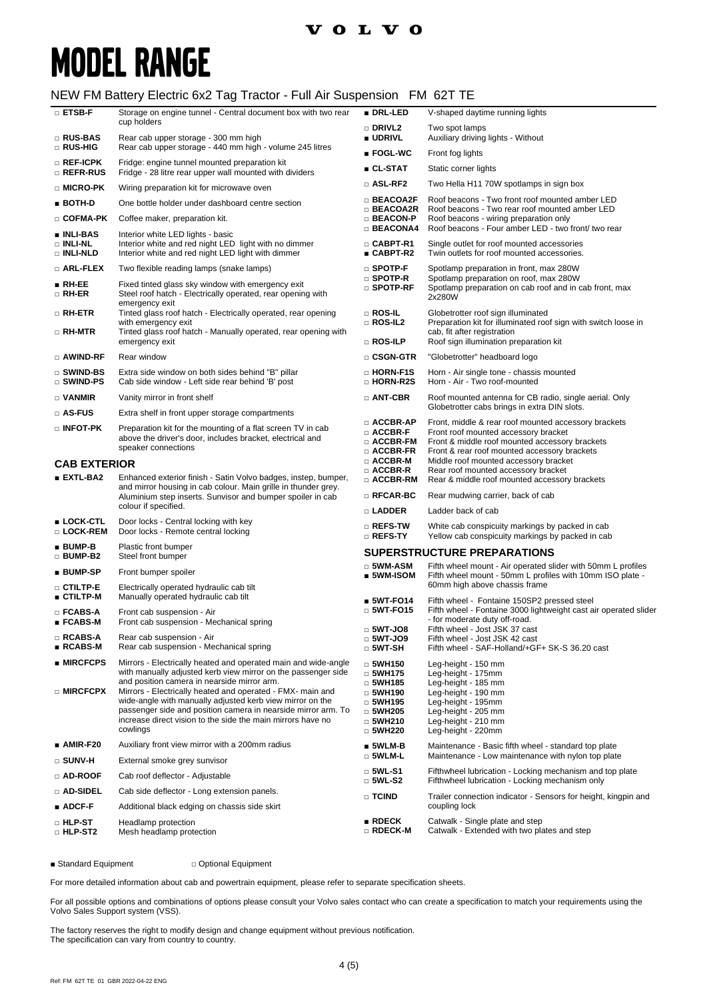### **VOLVO**

# **MODEL RANGE**

### NEW FM Battery Electric 6x2 Tag Tractor - Full Air Suspension FM 62T TE

| $\square$ ETSB-F                                          | Storage on engine tunnel - Central document box with two rear                                                                                                                                                                                                                                                                                                                                                                                         | ■ DRL-LED                                                                                                                            | V-shaped daytime running lights                                                                                                                                                   |
|-----------------------------------------------------------|-------------------------------------------------------------------------------------------------------------------------------------------------------------------------------------------------------------------------------------------------------------------------------------------------------------------------------------------------------------------------------------------------------------------------------------------------------|--------------------------------------------------------------------------------------------------------------------------------------|-----------------------------------------------------------------------------------------------------------------------------------------------------------------------------------|
| □ RUS-BAS                                                 | cup holders                                                                                                                                                                                                                                                                                                                                                                                                                                           | □ DRIVL2<br><b>UDRIVL</b>                                                                                                            | Two spot lamps                                                                                                                                                                    |
| □ RUS-HIG                                                 | Rear cab upper storage - 300 mm high<br>Rear cab upper storage - 440 mm high - volume 245 litres                                                                                                                                                                                                                                                                                                                                                      | $\blacksquare$ FOGL-WC                                                                                                               | Auxiliary driving lights - Without<br>Front fog lights                                                                                                                            |
| □ REF-ICPK                                                | Fridge: engine tunnel mounted preparation kit                                                                                                                                                                                                                                                                                                                                                                                                         | ■ CL-STAT                                                                                                                            | Static corner lights                                                                                                                                                              |
| □ REFR-RUS                                                | Fridge - 28 litre rear upper wall mounted with dividers                                                                                                                                                                                                                                                                                                                                                                                               | □ ASL-RF2                                                                                                                            | Two Hella H11 70W spotlamps in sign box                                                                                                                                           |
| □ MICRO-PK                                                | Wiring preparation kit for microwave oven                                                                                                                                                                                                                                                                                                                                                                                                             | □ BEACOA2F                                                                                                                           | Roof beacons - Two front roof mounted amber LED                                                                                                                                   |
| $BOTH-D$                                                  | One bottle holder under dashboard centre section                                                                                                                                                                                                                                                                                                                                                                                                      | □ BEACOA2R                                                                                                                           | Roof beacons - Two rear roof mounted amber LED                                                                                                                                    |
| □ COFMA-PK                                                | Coffee maker, preparation kit.                                                                                                                                                                                                                                                                                                                                                                                                                        | □ BEACON-P<br><b>BEACONA4</b>                                                                                                        | Roof beacons - wiring preparation only<br>Roof beacons - Four amber LED - two front/ two rear                                                                                     |
| <b>u</b> INLI-BAS<br>□ INLI-NL<br><b>DINLI-NLD</b>        | Interior white LED lights - basic<br>Interior white and red night LED light with no dimmer<br>Interior white and red night LED light with dimmer                                                                                                                                                                                                                                                                                                      | □ CABPT-R1<br>■ CABPT-R2                                                                                                             | Single outlet for roof mounted accessories<br>Twin outlets for roof mounted accessories.                                                                                          |
| □ ARL-FLEX                                                | Two flexible reading lamps (snake lamps)                                                                                                                                                                                                                                                                                                                                                                                                              | $\square$ SPOTP-F                                                                                                                    | Spotlamp preparation in front, max 280W                                                                                                                                           |
| $RH-EE$<br>$\Box$ RH-ER                                   | Fixed tinted glass sky window with emergency exit<br>Steel roof hatch - Electrically operated, rear opening with<br>emergency exit                                                                                                                                                                                                                                                                                                                    | □ SPOTP-R<br>$\square$ SPOTP-RF                                                                                                      | Spotlamp preparation on roof, max 280W<br>Spotlamp preparation on cab roof and in cab front, max<br>2x280W                                                                        |
| □ RH-ETR                                                  | Tinted glass roof hatch - Electrically operated, rear opening                                                                                                                                                                                                                                                                                                                                                                                         | □ ROS-IL                                                                                                                             | Globetrotter roof sign illuminated                                                                                                                                                |
| □ RH-MTR                                                  | with emergency exit<br>Tinted glass roof hatch - Manually operated, rear opening with                                                                                                                                                                                                                                                                                                                                                                 | $\Box$ ROS-IL2                                                                                                                       | Preparation kit for illuminated roof sign with switch loose in<br>cab, fit after registration                                                                                     |
|                                                           | emergency exit                                                                                                                                                                                                                                                                                                                                                                                                                                        | $\square$ Ros-Ilp                                                                                                                    | Roof sign illumination preparation kit                                                                                                                                            |
| □ AWIND-RF                                                | Rear window                                                                                                                                                                                                                                                                                                                                                                                                                                           | □ CSGN-GTR                                                                                                                           | "Globetrotter" headboard logo                                                                                                                                                     |
| □ SWIND-BS<br>□ SWIND-PS                                  | Extra side window on both sides behind "B" pillar<br>Cab side window - Left side rear behind 'B' post                                                                                                                                                                                                                                                                                                                                                 | <b>D</b> HORN-F1S<br>□ HORN-R2S                                                                                                      | Horn - Air single tone - chassis mounted<br>Horn - Air - Two roof-mounted                                                                                                         |
| $\Box$ VANMIR                                             | Vanity mirror in front shelf                                                                                                                                                                                                                                                                                                                                                                                                                          | □ ANT-CBR                                                                                                                            | Roof mounted antenna for CB radio, single aerial. Only<br>Globetrotter cabs brings in extra DIN slots.                                                                            |
| $\square$ AS-FUS                                          | Extra shelf in front upper storage compartments                                                                                                                                                                                                                                                                                                                                                                                                       | □ ACCBR-AP                                                                                                                           | Front, middle & rear roof mounted accessory brackets                                                                                                                              |
| $\square$ INFOT-PK<br><b>CAB EXTERIOR</b>                 | Preparation kit for the mounting of a flat screen TV in cab<br>above the driver's door, includes bracket, electrical and<br>speaker connections                                                                                                                                                                                                                                                                                                       | $\Box$ ACCBR-F<br>□ ACCBR-FM<br>$\Box$ ACCBR-FR<br>$\Box$ ACCBR-M                                                                    | Front roof mounted accessory bracket<br>Front & middle roof mounted accessory brackets<br>Front & rear roof mounted accessory brackets<br>Middle roof mounted accessory bracket   |
| $EXTL-BA2$                                                | Enhanced exterior finish - Satin Volvo badges, instep, bumper,                                                                                                                                                                                                                                                                                                                                                                                        | □ ACCBR-R                                                                                                                            | Rear roof mounted accessory bracket                                                                                                                                               |
|                                                           | and mirror housing in cab colour. Main grille in thunder grey.<br>Aluminium step inserts. Sunvisor and bumper spoiler in cab                                                                                                                                                                                                                                                                                                                          | $\Box$ ACCBR-RM<br>$\square$ RFCAR-BC                                                                                                | Rear & middle roof mounted accessory brackets<br>Rear mudwing carrier, back of cab                                                                                                |
|                                                           | colour if specified.                                                                                                                                                                                                                                                                                                                                                                                                                                  | □ LADDER                                                                                                                             | Ladder back of cab                                                                                                                                                                |
| ■ LOCK-CTL<br>□ LOCK-REM                                  | Door locks - Central locking with key<br>Door locks - Remote central locking                                                                                                                                                                                                                                                                                                                                                                          | □ REFS-TW<br>□ REFS-TY                                                                                                               | White cab conspicuity markings by packed in cab<br>Yellow cab conspicuity markings by packed in cab                                                                               |
| $BUMP-B$<br>□ BUMP-B2                                     | Plastic front bumper<br>Steel front bumper                                                                                                                                                                                                                                                                                                                                                                                                            |                                                                                                                                      | <b>SUPERSTRUCTURE PREPARATIONS</b>                                                                                                                                                |
| ■ BUMP-SP                                                 | Front bumper spoiler                                                                                                                                                                                                                                                                                                                                                                                                                                  | $\Box$ 5WM-ASM<br>$\blacksquare$ 5WM-ISOM                                                                                            | Fifth wheel mount - Air operated slider with 50mm L profiles<br>Fifth wheel mount - 50mm L profiles with 10mm ISO plate -                                                         |
| □ CTILTP-E                                                | Electrically operated hydraulic cab tilt                                                                                                                                                                                                                                                                                                                                                                                                              |                                                                                                                                      | 60mm high above chassis frame                                                                                                                                                     |
| $\blacksquare$ CTILTP-M<br>$\square$ FCABS-A<br>∎ FCABS-M | Manually operated hydraulic cab tilt<br>Front cab suspension - Air<br>Front cab suspension - Mechanical spring                                                                                                                                                                                                                                                                                                                                        | $5WT-FO14$<br>$\Box$ 5WT-FO15                                                                                                        | Fifth wheel - Fontaine 150SP2 pressed steel<br>Fifth wheel - Fontaine 3000 lightweight cast air operated slider<br>- for moderate duty off-road.                                  |
| <b>RCABS-A</b>                                            | Rear cab suspension - Air                                                                                                                                                                                                                                                                                                                                                                                                                             | $\Box$ 5WT-JO8                                                                                                                       | Fifth wheel - Jost JSK 37 cast<br>Fifth wheel - Jost JSK 42 cast                                                                                                                  |
| ■ RCABS-M                                                 | Rear cab suspension - Mechanical spring                                                                                                                                                                                                                                                                                                                                                                                                               | $\Box$ 5W I-JO9<br>$\Box$ 5WT-SH                                                                                                     | Fifth wheel - SAF-Holland/+GF+ SK-S 36.20 cast                                                                                                                                    |
| $\blacksquare$ MIRCFCPS<br>□ MIRCFCPX                     | Mirrors - Electrically heated and operated main and wide-angle<br>with manually adjusted kerb view mirror on the passenger side<br>and position camera in nearside mirror arm.<br>Mirrors - Electrically heated and operated - FMX- main and<br>wide-angle with manually adjusted kerb view mirror on the<br>passenger side and position camera in nearside mirror arm. To<br>increase direct vision to the side the main mirrors have no<br>cowlings | $\Box$ 5WH150<br>$\Box$ 5WH175<br>$\Box$ 5WH185<br>$\Box$ 5WH190<br>$\Box$ 5WH195<br>$\Box$ 5WH205<br>$\Box$ 5WH210<br>$\Box$ 5WH220 | Leg-height - 150 mm<br>Leg-height - 175mm<br>Leg-height - 185 mm<br>Leg-height - 190 mm<br>Leg-height - 195mm<br>Leg-height - 205 mm<br>Leg-height - 210 mm<br>Leg-height - 220mm |
| $\_ AMIR-F20$                                             | Auxiliary front view mirror with a 200mm radius                                                                                                                                                                                                                                                                                                                                                                                                       | $\blacksquare$ 5WLM-B                                                                                                                | Maintenance - Basic fifth wheel - standard top plate                                                                                                                              |
| □ SUNV-H                                                  | External smoke grey sunvisor                                                                                                                                                                                                                                                                                                                                                                                                                          | □ 5WLM-L                                                                                                                             | Maintenance - Low maintenance with nylon top plate                                                                                                                                |
| $\square$ AD-ROOF                                         | Cab roof deflector - Adjustable                                                                                                                                                                                                                                                                                                                                                                                                                       | $\square$ 5WL-S1<br>$\square$ 5WL-S2                                                                                                 | Fifthwheel lubrication - Locking mechanism and top plate<br>Fifthwheel lubrication - Locking mechanism only                                                                       |
| □ AD-SIDEL                                                | Cab side deflector - Long extension panels.                                                                                                                                                                                                                                                                                                                                                                                                           | □ TCIND                                                                                                                              | Trailer connection indicator - Sensors for height, kingpin and                                                                                                                    |
| $\blacksquare$ ADCF-F                                     | Additional black edging on chassis side skirt                                                                                                                                                                                                                                                                                                                                                                                                         |                                                                                                                                      | coupling lock                                                                                                                                                                     |
| $\scriptstyle\Box$ hlp st<br>□ HLP-ST2                    | Headlamp protection<br>Mesh headlamp protection                                                                                                                                                                                                                                                                                                                                                                                                       | $\blacksquare$ RDECK<br>□ RDECK-M                                                                                                    | Catwalk - Single plate and step<br>Catwalk - Extended with two plates and step                                                                                                    |

■ Standard Equipment □ Optional Equipment

For more detailed information about cab and powertrain equipment, please refer to separate specification sheets.

For all possible options and combinations of options please consult your Volvo sales contact who can create a specification to match your requirements using the Volvo Sales Support system (VSS).

The factory reserves the right to modify design and change equipment without previous notification. The specification can vary from country to country.